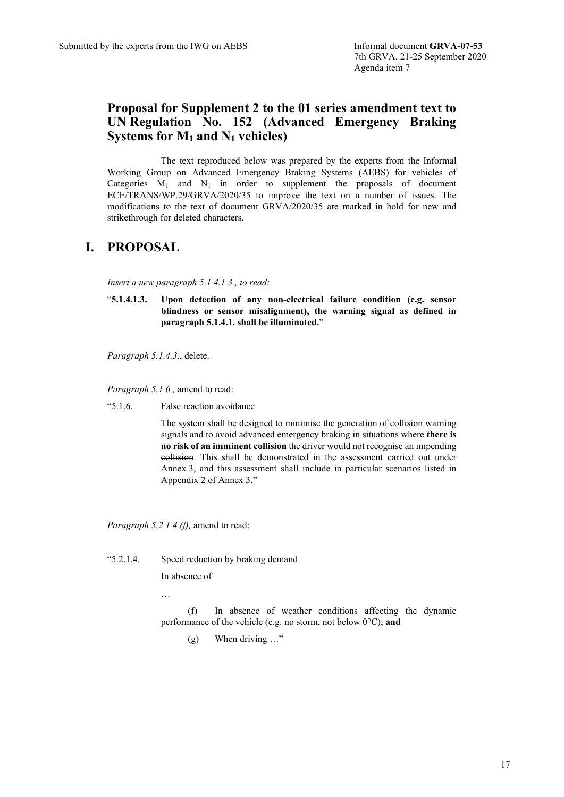# **Proposal for Supplement 2 to the 01 series amendment text to UN Regulation No. 152 (Advanced Emergency Braking Systems for M1 and N1 vehicles)**

The text reproduced below was prepared by the experts from the Informal Working Group on Advanced Emergency Braking Systems (AEBS) for vehicles of Categories  $M_1$  and  $N_1$  in order to supplement the proposals of document ECE/TRANS/WP.29/GRVA/2020/35 to improve the text on a number of issues. The modifications to the text of document GRVA/2020/35 are marked in bold for new and strikethrough for deleted characters.

# **I. PROPOSAL**

*Insert a new paragraph 5.1.4.1.3., to read:*

"**5.1.4.1.3. Upon detection of any non-electrical failure condition (e.g. sensor blindness or sensor misalignment), the warning signal as defined in paragraph 5.1.4.1. shall be illuminated.**"

*Paragraph 5.1.4.3*., delete.

*Paragraph 5.1.6.,* amend to read:

"5.1.6. False reaction avoidance

The system shall be designed to minimise the generation of collision warning signals and to avoid advanced emergency braking in situations where **there is no risk of an imminent collision** the driver would not recognise an impending collision. This shall be demonstrated in the assessment carried out under Annex 3, and this assessment shall include in particular scenarios listed in Appendix 2 of Annex 3."

*Paragraph 5.2.1.4 (f),* amend to read:

"5.2.1.4. Speed reduction by braking demand

In absence of

…

(f) In absence of weather conditions affecting the dynamic performance of the vehicle (e.g. no storm, not below 0°C); **and**

(g) When driving …"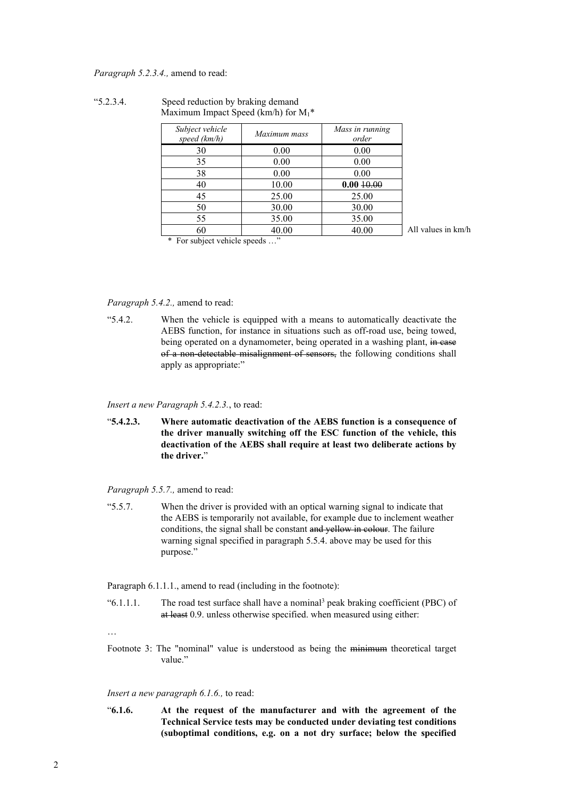*Paragraph 5.2.3.4.,* amend to read:

| Subject vehicle<br>speed (km/h) | Maximum mass | Mass in running<br>order |
|---------------------------------|--------------|--------------------------|
| 30                              | 0.00         | 0.00                     |
| 35                              | 0.00         | 0.00                     |
| 38                              | 0.00         | 0.00                     |
| 40                              | 10.00        | 0.0010.00                |
| 45                              | 25.00        | 25.00                    |
| 50                              | 30.00        | 30.00                    |
| 55                              | 35.00        | 35.00                    |
| 60                              | 40.00        | 40.00                    |

"5.2.3.4. Speed reduction by braking demand Maximum Impact Speed (km/h) for  $M_1^*$ 

\* For subject vehicle speeds …"

All values in km/h

*Paragraph 5.4.2.,* amend to read:

"5.4.2. When the vehicle is equipped with a means to automatically deactivate the AEBS function, for instance in situations such as off-road use, being towed, being operated on a dynamometer, being operated in a washing plant, in case of a non-detectable misalignment of sensors, the following conditions shall apply as appropriate:"

*Insert a new Paragraph 5.4.2.3.*, to read:

"**5.4.2.3. Where automatic deactivation of the AEBS function is a consequence of the driver manually switching off the ESC function of the vehicle, this deactivation of the AEBS shall require at least two deliberate actions by the driver.**"

*Paragraph 5.5.7.,* amend to read:

"5.5.7. When the driver is provided with an optical warning signal to indicate that the AEBS is temporarily not available, for example due to inclement weather conditions, the signal shall be constant and yellow in colour. The failure warning signal specified in paragraph 5.5.4. above may be used for this purpose."

Paragraph  $6.1.1.1$ ., amend to read (including in the footnote):

" $6.1.1.1$ . The road test surface shall have a nominal<sup>3</sup> peak braking coefficient (PBC) of at least 0.9. unless otherwise specified. when measured using either:

…

Footnote 3: The "nominal" value is understood as being the minimum theoretical target value"

#### *Insert a new paragraph 6.1.6.,* to read:

"**6.1.6. At the request of the manufacturer and with the agreement of the Technical Service tests may be conducted under deviating test conditions (suboptimal conditions, e.g. on a not dry surface; below the specified**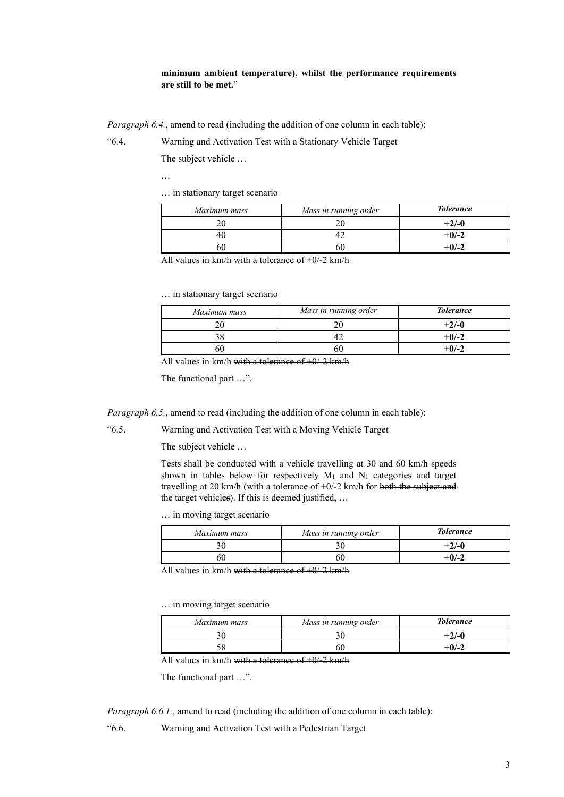### **minimum ambient temperature), whilst the performance requirements are still to be met.**"

*Paragraph 6.4.*, amend to read (including the addition of one column in each table):

"6.4. Warning and Activation Test with a Stationary Vehicle Target

The subject vehicle …

…

… in stationary target scenario

| Maximum mass | Mass in running order | <b>Tolerance</b> |
|--------------|-----------------------|------------------|
|              |                       | $+2/-0$          |
|              |                       | $+0/-2$          |
|              | 60                    | $+0/-2$          |

All values in  $km/h$  with a tolerance of  $+0/2$  km/h

… in stationary target scenario

| Maximum mass | Mass in running order | <b>Tolerance</b> |
|--------------|-----------------------|------------------|
|              |                       | $+2/-0$          |
|              |                       | $+0/-2$          |
|              |                       | $+0/2$           |

All values in km/h with a tolerance of  $+0/2$  km/h

The functional part …".

*Paragraph 6.5.*, amend to read (including the addition of one column in each table):

"6.5. Warning and Activation Test with a Moving Vehicle Target

The subject vehicle …

Tests shall be conducted with a vehicle travelling at 30 and 60 km/h speeds shown in tables below for respectively  $M_1$  and  $N_1$  categories and target travelling at 20 km/h (with a tolerance of +0/-2 km/h for both the subject and the target vehicles). If this is deemed justified, …

… in moving target scenario

| Maximum mass | Mass in running order | <b>Tolerance</b> |
|--------------|-----------------------|------------------|
|              |                       | +2/-0            |
|              |                       | +0/-2            |

All values in km/h with a tolerance of  $+0/2$  km/h

… in moving target scenario

| Maximum mass | Mass in running order | <b>Tolerance</b> |
|--------------|-----------------------|------------------|
| 30           |                       | $+2/-0$          |
|              | эU                    | $+0/-2$          |

All values in km/h with a tolerance of  $+0/2$  km/h

The functional part …".

*Paragraph 6.6.1.*, amend to read (including the addition of one column in each table):

"6.6. Warning and Activation Test with a Pedestrian Target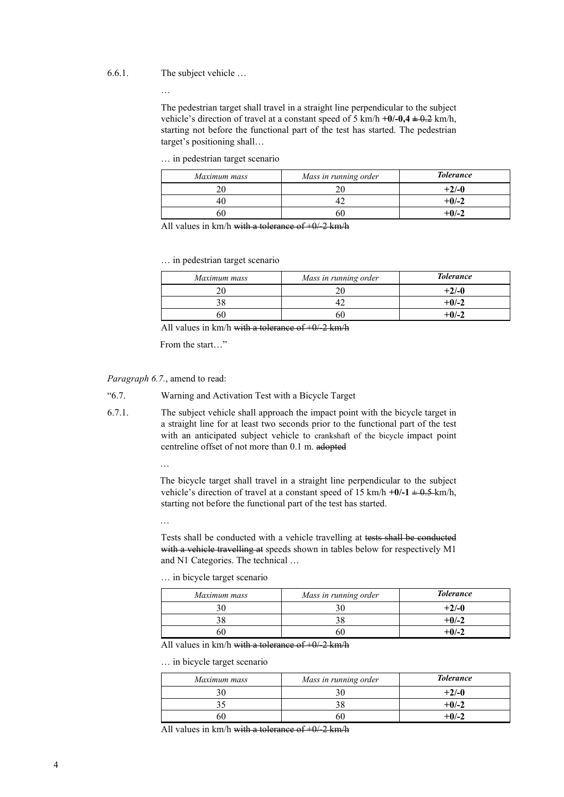#### 6.6.1. The subject vehicle …

…

The pedestrian target shall travel in a straight line perpendicular to the subject vehicle's direction of travel at a constant speed of 5 km/h  $+0$ /-0,4  $\pm$  0.2 km/h, starting not before the functional part of the test has started. The pedestrian target's positioning shall…

… in pedestrian target scenario

| Maximum mass | Mass in running order | <b>Tolerance</b> |
|--------------|-----------------------|------------------|
|              |                       | $+2/-0$          |
|              |                       | $+0/-2$          |
|              |                       | +0/-2            |

All values in km/h with a tolerance of  $+0/2$  km/h

… in pedestrian target scenario

| Maximum mass | Mass in running order | <b>Tolerance</b> |
|--------------|-----------------------|------------------|
|              |                       | $+2/-0$          |
|              |                       | $+0/-2$          |
|              |                       | $+0/2$           |

All values in  $km/h$  with a tolerance of  $+0/-2$  km/h

From the start…"

*Paragraph 6.7.*, amend to read:

- "6.7. Warning and Activation Test with a Bicycle Target
- 6.7.1. The subject vehicle shall approach the impact point with the bicycle target in a straight line for at least two seconds prior to the functional part of the test with an anticipated subject vehicle to crankshaft of the bicycle impact point centreline offset of not more than 0.1 m. adopted

…

The bicycle target shall travel in a straight line perpendicular to the subject vehicle's direction of travel at a constant speed of 15 km/h  $+0/-1 \pm 0.5$  km/h, starting not before the functional part of the test has started.

…

Tests shall be conducted with a vehicle travelling at tests shall be conducted with a vehicle travelling at speeds shown in tables below for respectively M1 and N1 Categories. The technical …

… in bicycle target scenario

| Maximum mass | Mass in running order | <b>Tolerance</b> |
|--------------|-----------------------|------------------|
|              |                       | $+2/-0$          |
|              |                       | $+0/-2$          |
|              |                       | $+0$ /-2         |

All values in km/h with a tolerance of  $+0/2$  km/h

… in bicycle target scenario

| Maximum mass | Mass in running order | <b>Tolerance</b> |
|--------------|-----------------------|------------------|
|              |                       | $+2/-0$          |
|              |                       | $+0/-2$          |
|              | bU                    | $+0/-2$          |

All values in  $km/h$  with a tolerance of  $+0/2$  km/h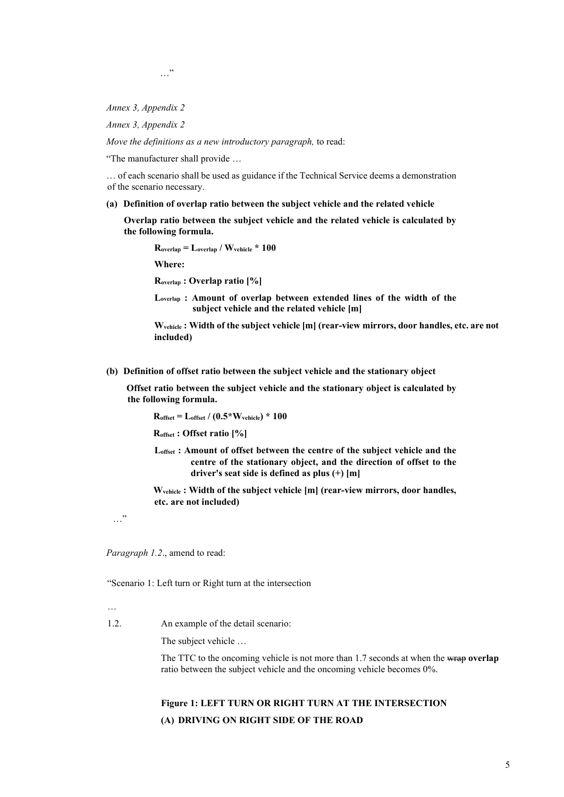…"

*Annex 3, Appendix 2*

*Annex 3, Appendix 2*

*Move the definitions as a new introductory paragraph,* to read:

"The manufacturer shall provide …

… of each scenario shall be used as guidance if the Technical Service deems a demonstration of the scenario necessary.

**(a) Definition of overlap ratio between the subject vehicle and the related vehicle**

**Overlap ratio between the subject vehicle and the related vehicle is calculated by the following formula.**

**Roverlap = Loverlap / Wvehicle \* 100 Where:**

**Roverlap : Overlap ratio [%]**

**Loverlap : Amount of overlap between extended lines of the width of the subject vehicle and the related vehicle [m]**



**(b) Definition of offset ratio between the subject vehicle and the stationary object**

**Offset ratio between the subject vehicle and the stationary object is calculated by the following formula.**

**Roffset = Loffset / (0.5\*Wvehicle) \* 100** 

**Roffset : Offset ratio [%]**

**Loffset : Amount of offset between the centre of the subject vehicle and the centre of the stationary object, and the direction of offset to the driver's seat side is defined as plus (+) [m]**

**Wvehicle : Width of the subject vehicle [m] (rear-view mirrors, door handles, etc. are not included)**

…"

*Paragraph 1.2*., amend to read:

"Scenario 1: Left turn or Right turn at the intersection

1.2. An example of the detail scenario:

The subject vehicle …

The TTC to the oncoming vehicle is not more than 1.7 seconds at when the wrap **overlap** ratio between the subject vehicle and the oncoming vehicle becomes 0%.

# **Figure 1: LEFT TURN OR RIGHT TURN AT THE INTERSECTION (A) DRIVING ON RIGHT SIDE OF THE ROAD**

<sup>…</sup>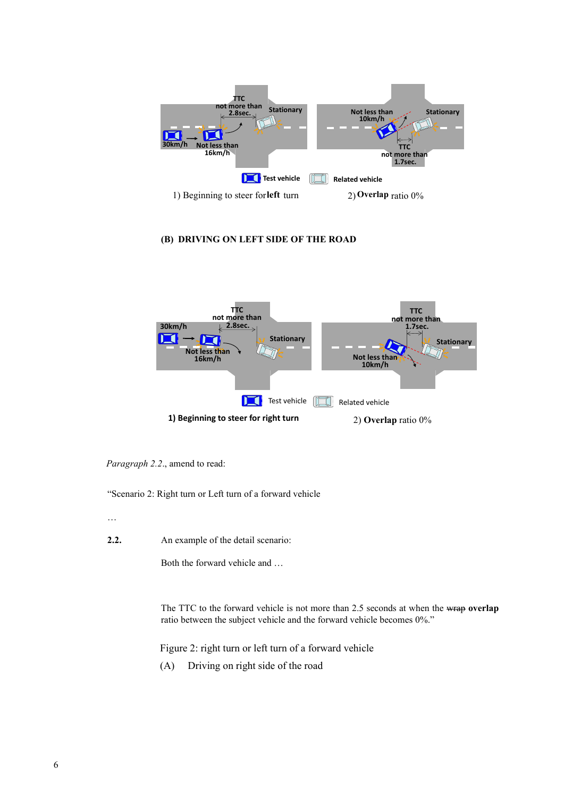

### **(B) DRIVING ON LEFT SIDE OF THE ROAD**



*Paragraph 2.2*., amend to read:

"Scenario 2: Right turn or Left turn of a forward vehicle

…

**2.2.** An example of the detail scenario:

Both the forward vehicle and …

The TTC to the forward vehicle is not more than 2.5 seconds at when the wrap **overlap** ratio between the subject vehicle and the forward vehicle becomes 0%."

Figure 2: right turn or left turn of a forward vehicle

(A) Driving on right side of the road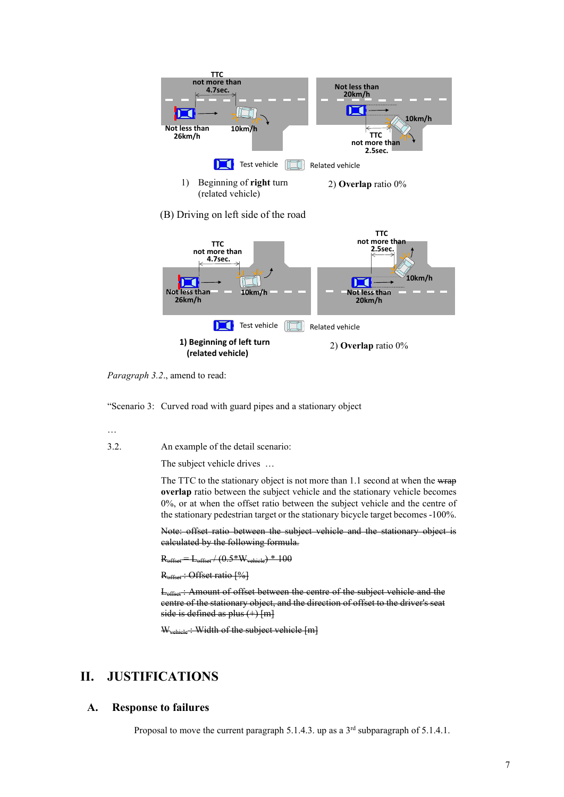

*Paragraph 3.2*., amend to read:

"Scenario 3: Curved road with guard pipes and a stationary object

…

3.2. An example of the detail scenario:

The subject vehicle drives …

The TTC to the stationary object is not more than 1.1 second at when the wrap **overlap** ratio between the subject vehicle and the stationary vehicle becomes 0%, or at when the offset ratio between the subject vehicle and the centre of the stationary pedestrian target or the stationary bicycle target becomes -100%.

Note: offset ratio between the subject vehicle and the stationary object is calculated by the following formula.

 $R_{\text{offset}} = L_{\text{offset}} / (0.5*W_{\text{vehicle}}) * 100$ 

R<sub>offset</sub>: Offset ratio [%]

Loffset : Amount of offset between the centre of the subject vehicle and the centre of the stationary object, and the direction of offset to the driver's seat side is defined as plus  $(+)$  [m]

W<sub>vehicle</sub>: Width of the subject vehicle [m]

# **II. JUSTIFICATIONS**

### **A. Response to failures**

Proposal to move the current paragraph 5.1.4.3. up as a  $3<sup>rd</sup>$  subparagraph of 5.1.4.1.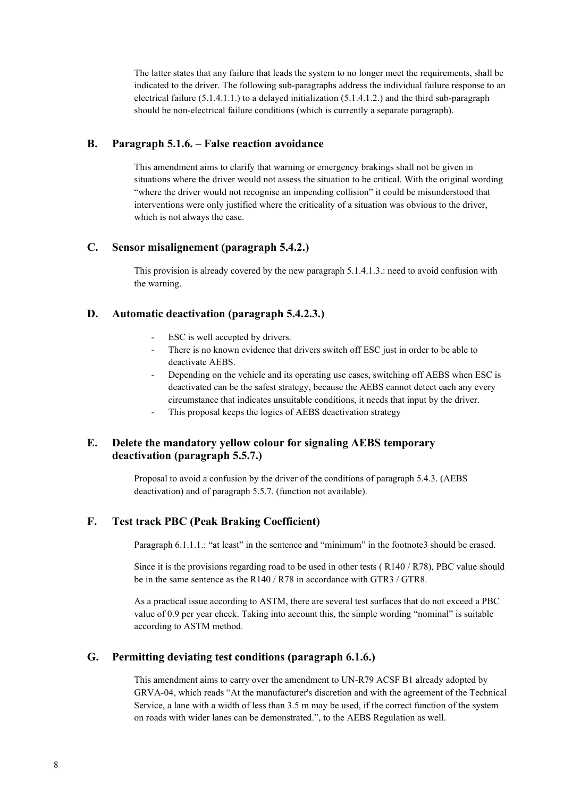The latter states that any failure that leads the system to no longer meet the requirements, shall be indicated to the driver. The following sub-paragraphs address the individual failure response to an electrical failure  $(5.1.4.1.1.)$  to a delayed initialization  $(5.1.4.1.2.)$  and the third sub-paragraph should be non-electrical failure conditions (which is currently a separate paragraph).

### **B. Paragraph 5.1.6. – False reaction avoidance**

This amendment aims to clarify that warning or emergency brakings shall not be given in situations where the driver would not assess the situation to be critical. With the original wording "where the driver would not recognise an impending collision" it could be misunderstood that interventions were only justified where the criticality of a situation was obvious to the driver, which is not always the case.

### **C. Sensor misalignement (paragraph 5.4.2.)**

This provision is already covered by the new paragraph 5.1.4.1.3.: need to avoid confusion with the warning.

# **D. Automatic deactivation (paragraph 5.4.2.3.)**

- ESC is well accepted by drivers.
- There is no known evidence that drivers switch off ESC just in order to be able to deactivate AEBS.
- Depending on the vehicle and its operating use cases, switching off AEBS when ESC is deactivated can be the safest strategy, because the AEBS cannot detect each any every circumstance that indicates unsuitable conditions, it needs that input by the driver.
- This proposal keeps the logics of AEBS deactivation strategy

# **E. Delete the mandatory yellow colour for signaling AEBS temporary deactivation (paragraph 5.5.7.)**

Proposal to avoid a confusion by the driver of the conditions of paragraph 5.4.3. (AEBS deactivation) and of paragraph 5.5.7. (function not available).

# **F. Test track PBC (Peak Braking Coefficient)**

Paragraph 6.1.1.1.: "at least" in the sentence and "minimum" in the footnote3 should be erased.

Since it is the provisions regarding road to be used in other tests ( R140 / R78), PBC value should be in the same sentence as the R140 / R78 in accordance with GTR3 / GTR8.

As a practical issue according to ASTM, there are several test surfaces that do not exceed a PBC value of 0.9 per year check. Taking into account this, the simple wording "nominal" is suitable according to ASTM method.

# **G. Permitting deviating test conditions (paragraph 6.1.6.)**

This amendment aims to carry over the amendment to UN-R79 ACSF B1 already adopted by GRVA-04, which reads "At the manufacturer's discretion and with the agreement of the Technical Service, a lane with a width of less than 3.5 m may be used, if the correct function of the system on roads with wider lanes can be demonstrated.", to the AEBS Regulation as well.